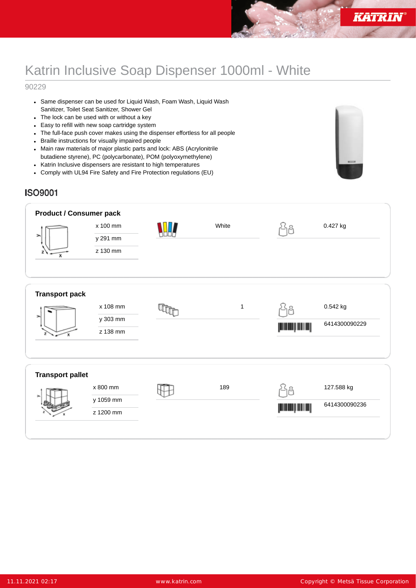## Katrin Inclusive Soap Dispenser 1000ml - White

## 90229

- Same dispenser can be used for Liquid Wash, Foam Wash, Liquid Wash Sanitizer, Toilet Seat Sanitizer, Shower Gel
- The lock can be used with or without a key
- Easy to refill with new soap cartridge system
- The full-face push cover makes using the dispenser effortless for all people
- Braille instructions for visually impaired people
- Main raw materials of major plastic parts and lock: ABS (Acrylonitrile butadiene styrene), PC (polycarbonate), POM (polyoxymethylene)
- Katrin Inclusive dispensers are resistant to high temperatures
- Comply with UL94 Fire Safety and Fire Protection regulations (EU)



## **ISO9001**

| <b>Product / Consumer pack</b><br>⋋<br>х | x 100 mm<br>y 291 mm<br>z 130 mm   | White       |                 | 0.427 kg                    |
|------------------------------------------|------------------------------------|-------------|-----------------|-----------------------------|
| <b>Transport pack</b>                    | x 108 mm<br>y 303 mm<br>z 138 mm   | $\mathbf 1$ | إسسارسس         | 0.542 kg<br>6414300090229   |
| <b>Transport pallet</b>                  | x 800 mm<br>y 1059 mm<br>z 1200 mm | 189         | إلاات بالاتاتار | 127.588 kg<br>6414300090236 |